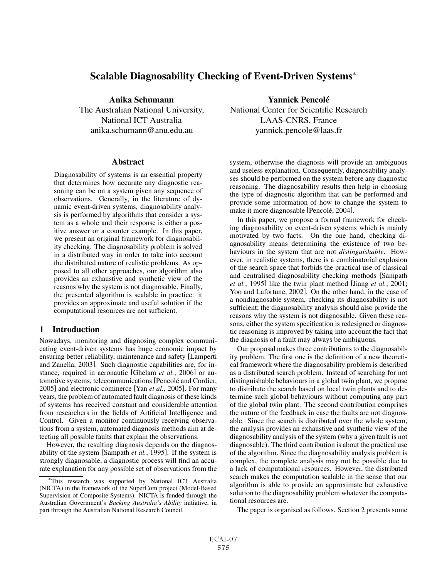# Scalable Diagnosability Checking of Event-Driven Systems<sup>∗</sup>

anika.schumann@anu.edu.au yannick.pencole@laas.fr

### **Abstract**

Diagnosability of systems is an essential property that determines how accurate any diagnostic reasoning can be on a system given any sequence of observations. Generally, in the literature of dynamic event-driven systems, diagnosability analysis is performed by algorithms that consider a system as a whole and their response is either a positive answer or a counter example. In this paper, we present an original framework for diagnosability checking. The diagnosability problem is solved in a distributed way in order to take into account the distributed nature of realistic problems. As opposed to all other approaches, our algorithm also provides an exhaustive and synthetic view of the reasons why the system is not diagnosable. Finally, the presented algorithm is scalable in practice: it provides an approximate and useful solution if the computational resources are not sufficient.

# 1 Introduction

Nowadays, monitoring and diagnosing complex communicating event-driven systems has huge economic impact by ensuring better reliability, maintenance and safety [Lamperti and Zanella, 2003]. Such diagnostic capabilities are, for instance, required in aeronautic [Ghelam *et al.*, 2006] or automotive systems, telecommunications [Pencolé and Cordier, 2005] and electronic commerce [Yan *et al.*, 2005]. For many years, the problem of automated fault diagnosis of these kinds of systems has received constant and considerable attention from researchers in the fields of Artificial Intelligence and Control. Given a monitor continuously receiving observations from a system, automated diagnosis methods aim at detecting all possible faults that explain the observations.

However, the resulting diagnosis depends on the diagnosability of the system [Sampath *et al.*, 1995]. If the system is strongly diagnosable, a diagnostic process will find an accurate explanation for any possible set of observations from the

Anika Schumann Yannick Pencole´ The Australian National University, National Center for Scientific Research National ICT Australia LAAS-CNRS, France

> system, otherwise the diagnosis will provide an ambiguous and useless explanation. Consequently, diagnosability analyses should be performed on the system before any diagnostic reasoning. The diagnosability results then help in choosing the type of diagnostic algorithm that can be performed and provide some information of how to change the system to make it more diagnosable [Pencolé, 2004].

> In this paper, we propose a formal framework for checking diagnosability on event-driven systems which is mainly motivated by two facts. On the one hand, checking diagnosability means determining the existence of two behaviours in the system that are not *distinguishable*. However, in realistic systems, there is a combinatorial explosion of the search space that forbids the practical use of classical and centralised diagnosability checking methods [Sampath *et al.*, 1995] like the twin plant method [Jiang *et al.*, 2001; Yoo and Lafortune, 2002]. On the other hand, in the case of a nondiagnosable system, checking its diagnosability is not sufficient; the diagnosability analysis should also provide the reasons why the system is not diagnosable. Given these reasons, either the system specification is redesigned or diagnostic reasoning is improved by taking into account the fact that the diagnosis of a fault may always be ambiguous.

> Our proposal makes three contributions to the diagnosability problem. The first one is the definition of a new theoretical framework where the diagnosability problem is described as a distributed search problem. Instead of searching for not distinguishable behaviours in a global twin plant, we propose to distribute the search based on local twin plants and to determine such global behaviours without computing any part of the global twin plant. The second contribution comprises the nature of the feedback in case the faults are not diagnosable. Since the search is distributed over the whole system, the analysis provides an exhaustive and synthetic view of the diagnosability analysis of the system (why a given fault is not diagnosable). The third contribution is about the practical use of the algorithm. Since the diagnosability analysis problem is complex, the complete analysis may not be possible due to a lack of computational resources. However, the distributed search makes the computation scalable in the sense that our algorithm is able to provide an approximate but exhaustive solution to the diagnosability problem whatever the computational resources are.

The paper is organised as follows. Section 2 presents some

This research was supported by National ICT Australia (NICTA) in the framework of the SuperCom project (Model-Based Supervision of Composite Systems). NICTA is funded through the Australian Government's *Backing Australia's Ability* initiative, in part through the Australian National Research Council.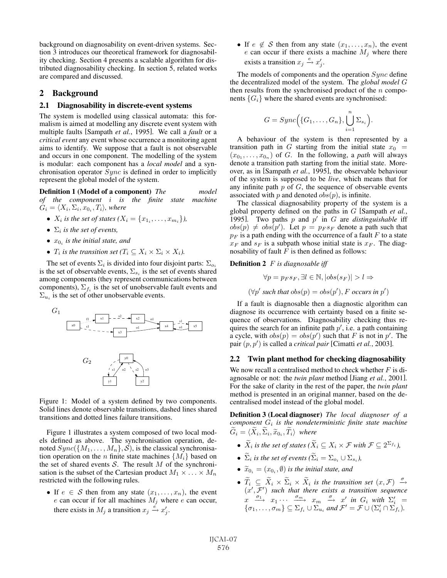background on diagnosability on event-driven systems. Section 3 introduces our theoretical framework for diagnosability checking. Section 4 presents a scalable algorithm for distributed diagnosability checking. In section 5, related works are compared and discussed.

### 2 Background

#### 2.1 Diagnosability in discrete-event systems

The system is modelled using classical automata: this formalism is aimed at modelling any discrete event system with multiple faults [Sampath *et al.*, 1995]. We call a *fault* or a *critical event* any event whose occurrence a monitoring agent aims to identify. We suppose that a fault is not observable and occurs in one component. The modelling of the system is modular: each component has a *local model* and a synchronisation operator  $Sync$  is defined in order to implicitly represent the global model of the system.

Definition 1 (Model of a component) *The model of the component* i *is the finite state machine*  $G_i = \langle X_i, \Sigma_i, x_{0_i}, T_i \rangle$ , where

- $X_i$  *is the set of states*  $(X_i = \{x_{1_i}, \ldots, x_{m_i}\})$ *,*
- $\Sigma_i$  *is the set of events,*
- $x_0$ , *is the initial state, and*
- $T_i$  *is the transition set*  $(T_i \subseteq X_i \times \Sigma_i \times X_i)$ .

The set of events  $\Sigma_i$  is divided into four disjoint parts:  $\Sigma_{o_i}$ is the set of observable events,  $\Sigma_{s_i}$  is the set of events shared among components (they represent communications between components),  $\Sigma_{f_i}$  is the set of unobservable fault events and  $\Sigma_{u_i}$  is the set of other unobservable events.



Figure 1: Model of a system defined by two components. Solid lines denote observable transitions, dashed lines shared transitions and dotted lines failure transitions.

Figure 1 illustrates a system composed of two local models defined as above. The synchronisation operation, denoted  $Sync({M_1,\ldots,M_n},\mathcal{S})$ , is the classical synchronisation operation on the *n* finite state machines  $\{M_i\}$  based on the set of shared events  $S$ . The result  $M$  of the synchronisation is the subset of the Cartesian product  $M_1 \times \ldots \times M_n$ restricted with the following rules.

• If  $e \in S$  then from any state  $(x_1, \ldots, x_n)$ , the event  $e$  can occur if for all machines  $M_j$  where  $e$  can occur, there exists in  $M_j$  a transition  $x_j \stackrel{\tilde{e}}{\rightarrow} x'_j$ .

• If  $e \notin S$  then from any state  $(x_1,...,x_n)$ , the event e can occur if there exists a machine  $M_j$  where there exists a transition  $x_j \xrightarrow{e} x'_j$ .

The models of components and the operation  $S$ *ync* define the decentralized model of the system. The *global model* G then results from the synchronised product of the  $n$  components  ${G_i}$  where the shared events are synchronised:

$$
G = Sync(\lbrace G_1, \ldots, G_n \rbrace, \bigcup_{i=1}^{n} \Sigma_{s_i}\Big)
$$

.

)

A behaviour of the system is then represented by a transition path in G starting from the initial state  $x_0 =$  $(x_{0_1},...,x_{0_n})$  of G. In the following, a *path* will always denote a transition path starting from the initial state. Moreover, as in [Sampath *et al.*, 1995], the observable behaviour of the system is supposed to be *live*, which means that for any infinite path  $p$  of  $G$ , the sequence of observable events associated with  $p$  and denoted  $obs(p)$ , is infinite.

The classical diagnosability property of the system is a global property defined on the paths in G [Sampath *et al.*, 1995]. Two paths  $p$  and  $p'$  in  $G$  are *distinguishable* iff  $obs(p) \neq obs(p')$ . Let  $p = p_F s_F$  denote a path such that  $p_F$  is a path ending with the occurrence of a fault F to a state  $x_F$  and  $s_F$  is a subpath whose initial state is  $x_F$ . The diagnosability of fault  $F$  is then defined as follows:

### Definition 2 F *is diagnosable iff*

$$
\forall p = p_F s_F, \exists l \in \mathbb{N}, |obs(s_F)| > l \Rightarrow
$$
  

$$
(\forall p' \text{ such that } obs(p) = obs(p'), F \text{ occurs in } p'
$$

If a fault is diagnosable then a diagnostic algorithm can diagnose its occurrence with certainty based on a finite sequence of observations. Diagnosability checking thus requires the search for an infinite path  $p'$ , i.e. a path containing a cycle, with  $obs(p) = obs(p')$  such that F is not in p'. The pair  $(p, p')$  is called a *critical pair* [Cimatti *et al.*, 2003].

#### 2.2 Twin plant method for checking diagnosability

We now recall a centralised method to check whether  $F$  is diagnosable or not: the *twin plant* method [Jiang *et al.*, 2001]. For the sake of clarity in the rest of the paper, the *twin plant* method is presented in an original manner, based on the decentralised model instead of the global model.

Definition 3 (Local diagnoser) *The local diagnoser of a component*  $G_i$  *is the nondeterministic finite state machine*  $\widetilde{G}_i = \langle \widetilde{X}_i, \widetilde{\Sigma}_i, \widetilde{x}_{0_i}, \widetilde{T}_i \rangle$  where

- $\widetilde{X}_i$  *is the set of states* ( $\widetilde{X}_i \subseteq X_i \times \mathcal{F}$  *with*  $\mathcal{F} \subseteq 2^{\Sigma_{f_i}}$ *)*,
- $\widetilde{\Sigma}_i$  *is the set of events*  $(\widetilde{\Sigma}_i = \Sigma_{o_i} \cup \Sigma_{s_i})$ ,
- $\widetilde{x}_{0i} = (x_{0i}, \emptyset)$  *is the initial state, and*
- $\widetilde{T}_i \subseteq \widetilde{X}_i \times \widetilde{\Sigma}_i \times \widetilde{X}_i$  is the transition set  $(x, \mathcal{F}) \stackrel{\sigma}{\rightarrow}$  $(x', \mathcal{F}')$  such that there exists a transition sequence  $x \xrightarrow{\sigma_1} x_1 \cdots \xrightarrow{\sigma_m} x_m \xrightarrow{\sigma} x'$  in  $G_i$  with  $\Sigma'_i =$  $\{\sigma_1,\ldots,\sigma_m\}\subseteq \Sigma_{f_i}\cup \Sigma_{u_i}$  and  $\mathcal{F}'=\mathcal{F}\cup(\Sigma'_i\cap \Sigma'_{f_i})$ .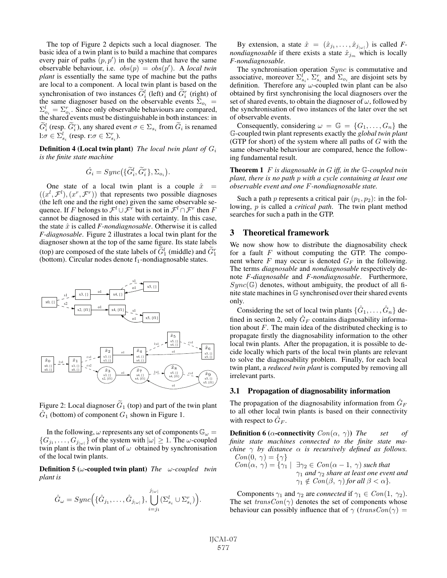The top of Figure 2 depicts such a local diagnoser. The basic idea of a twin plant is to build a machine that compares every pair of paths  $(p, p')$  in the system that have the same observable behaviour, i.e.  $obs(p) = obs(p')$ . A *local twin plant* is essentially the same type of machine but the paths are local to a component. A local twin plant is based on the synchronisation of two instances  $G_i^l$  (left) and  $G_i^r$  (right) of the same diagnoser based on the observable events  $\Sigma_{o_i}$  =  $\Sigma_{o_i}^l = \Sigma_{o_i}^r$ . Since only observable behaviours are compared, the shared events must be distinguishable in both instances: in  $\widetilde{G}_{i}^{l}$  (resp.  $\widetilde{G}_{i}^{r}$ ), any shared event  $\sigma \in \Sigma_{s_{i}}$  from  $\widetilde{G}_{i}$  is renamed l: $\sigma \in \Sigma_{s_i}^l$  (resp. r: $\sigma \in \Sigma_{s_i}^r$ ).

Definition 4 (Local twin plant) *The local twin plant of* G<sup>i</sup> *is the finite state machine*

$$
\hat{G}_i = Sync(\{\widetilde{G}_i^l, \widetilde{G}_i^r\}, \Sigma_{o_i}).
$$

One state of a local twin plant is a couple  $\hat{x} =$  $((x^{l}, \mathcal{F}^{l}), (x^{r}, \mathcal{F}^{r}))$  that represents two possible diagnoses (the left one and the right one) given the same observable sequence. If F belongs to  $\mathcal{F}^l \cup \mathcal{F}^r$  but is not in  $\mathcal{F}^l \cap \mathcal{F}^r$  then F cannot be diagnosed in this state with certainty. In this case, the state  $\hat{x}$  is called *F-nondiagnosable*. Otherwise it is called *F-diagnosable*. Figure 2 illustrates a local twin plant for the diagnoser shown at the top of the same figure. Its state labels (top) are composed of the state labels of  $\tilde{G}_1^l$  (middle) and  $\tilde{G}_1^r$ (bottom). Circular nodes denote  $f_1$ -nondiagnosable states.



Figure 2: Local diagnoser  $\tilde{G}_1$  (top) and part of the twin plant  $\tilde{G}_1$  (bottom) of component  $G_1$  shown in Figure 1.

In the following,  $\omega$  represents any set of components  $\mathbb{G}_{\omega}$  =  $\{G_{j_1}, \ldots, G_{j_{|\omega|}}\}$  of the system with  $|\omega| \geq 1$ . The  $\omega$ -coupled twin plant is the twin plant of  $\omega$  obtained by synchronisation of the local twin plants.

Definition 5 (ω-coupled twin plant) *The* ω*-coupled twin plant is*

$$
\hat{G}_{\omega} = Sync\Big(\{\hat{G}_{j_1},\ldots,\hat{G}_{j_{|\omega|}}\},\bigcup_{i=j_1}^{j_{|\omega|}}(\Sigma_{s_i}^l \cup \Sigma_{s_i}^r)\Big).
$$

By extension, a state  $\hat{x} = (\hat{x}_{j_1}, \dots, \hat{x}_{j_{|\omega|}})$  is called *Fnondiagnosable* if there exists a state  $\hat{x}_{i_m}$  which is locally *F-nondiagnosable*.

The synchronisation operation  $Sync$  is commutative and associative, moreover  $\Sigma_{s_i}^l$ ,  $\Sigma_{s_i}^r$  and  $\Sigma_{o_i}$  are disjoint sets by definition. Therefore any  $\omega$ -coupled twin plant can be also obtained by first synchronising the local diagnosers over the set of shared events, to obtain the diagnoser of  $\omega$ , followed by the synchronisation of two instances of the later over the set of observable events.

Consequently, considering  $\omega = \mathbb{G} = \{G_1, \ldots, G_n\}$  the G-coupled twin plant represents exactly the *global twin plant* (GTP for short) of the system where all paths of  $G$  with the same observable behaviour are compared, hence the following fundamental result.

Theorem 1 F *is diagnosable in* G *iff, in the* G*-coupled twin plant, there is no path* p *with a cycle containing at least one observable event and one* F*-nondiagnosable state.*

Such a path p represents a critical pair  $(p_1, p_2)$ : in the following, p is called a *critical path*. The twin plant method searches for such a path in the GTP.

## 3 Theoretical framework

We now show how to distribute the diagnosability check for a fault  $F$  without computing the GTP. The component where  $F$  may occur is denoted  $G_F$  in the following. The terms *diagnosable* and *nondiagnosable* respectively denote *F-diagnosable* and *F-nondiagnosable*. Furthermore,  $Sync(\mathbb{G})$  denotes, without ambiguity, the product of all finite state machines in G synchronised over their shared events only.

Considering the set of local twin plants  $\{\hat{G}_1,\ldots,\hat{G}_n\}$  defined in section 2, only  $\hat{G}_F$  contains diagnosability information about  $F$ . The main idea of the distributed checking is to propagate firstly the diagnosability information to the other local twin plants. After the propagation, it is possible to decide locally which parts of the local twin plants are relevant to solve the diagnosability problem. Finally, for each local twin plant, a *reduced twin plant* is computed by removing all irrelevant parts.

#### 3.1 Propagation of diagnosability information

The propagation of the diagnosability information from  $\hat{G}_F$ to all other local twin plants is based on their connectivity with respect to  $\hat{G}_F$ .

**Definition 6 (** $\alpha$ **-connectivity**  $Con(\alpha, \gamma)$ ) *The set of finite state machines connected to the finite state machine* γ *by distance* α *is recursively defined as follows.*  $Con(0, \gamma) = {\gamma}$ 

$$
Con(\alpha, \gamma) = \{\gamma_1 \mid \exists \gamma_2 \in Con(\alpha - 1, \gamma) \text{ such that } \gamma_1 \text{ and } \gamma_2 \text{ share at least one event and } \gamma_1 \notin Con(\beta, \gamma) \text{ for all } \beta < \alpha \}.
$$

Components  $\gamma_1$  and  $\gamma_2$  are *connected* if  $\gamma_1 \in Con(1, \gamma_2)$ . The set  $transCon(\gamma)$  denotes the set of components whose behaviour can possibly influence that of  $\gamma$  (transCon( $\gamma$ ) =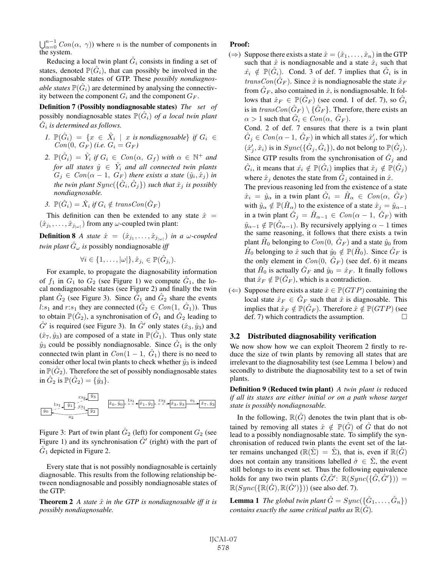$\bigcup_{\alpha=0}^{n-1} Con(\alpha, \gamma)$  where *n* is the number of components in the system.

Reducing a local twin plant  $G_i$  consists in finding a set of states, denoted  $\mathbb{P}(\hat{G}_i)$ , that can possibly be involved in the nondiagnosable states of GTP. These *possibly nondiagnosable states*  $\mathbb{P}(\hat{G}_i)$  are determined by analysing the connectivity between the component  $G_i$  and the component  $G_F$ .

Definition 7 (Possibly nondiagnosable states) *The set of* possibly nondiagnosable states  $\mathbb{P}(\hat{G}_i)$  *of a local twin plant*  $G_i$  *is determined as follows.* 

- *1.*  $\mathbb{P}(\hat{G}_i) = \{x \in \hat{X}_i \mid x \text{ is nondiagnosable}\}\text{ if }G_i \in$  $Con(0, G_F)$  *(i.e.*  $G_i = G_F$ *)*
- 2.  $\mathbb{P}(\hat{G}_i) = \hat{Y}_i$  *if*  $G_i \in Con(\alpha, G_f)$  *with*  $\alpha \in \mathbb{N}^+$  *and for all states*  $\hat{y} \in \hat{Y}_i$  *and all connected twin plants*  $G_j \in Con(\alpha - 1, G_F)$  *there exists a state*  $(\hat{y}_i, \hat{x}_j)$  *in the twin plant*  $Symc(\{\hat{G}_i, \hat{G}_j\})$  *such that*  $\hat{x}_j$  *is possibly nondiagnosable.*
- *3.*  $\mathbb{P}(\hat{G}_i) = \hat{X}_i$  *if*  $G_i \notin transCon(\hat{G}_F)$

This definition can then be extended to any state  $\hat{x} =$  $(\hat{x}_{j_1}, \ldots, \hat{x}_{j_{|\omega|}})$  from any  $\omega$ -coupled twin plant:

**Definition 8** *A state*  $\hat{x} = (\hat{x}_{j_1}, \dots, \hat{x}_{j_{|\omega|}})$  *in a w-coupled twin plant*  $\hat{G}_{\omega}$  *is* possibly nondiagnosable *iff* 

 $\forall i \in \{1,\ldots,|\omega|\}, \hat{x}_{j_i} \in \mathbb{P}(\hat{G}_{j_i}).$ 

For example, to propagate the diagnosability information of  $f_1$  in  $G_1$  to  $G_2$  (see Figure 1) we compute  $\tilde{G}_1$ , the local nondiagnosable states (see Figure 2) and finally the twin plant  $G_2$  (see Figure 3). Since  $G_1$  and  $G_2$  share the events l: $s_1$  and r: $s_1$  they are connected  $(\hat{G}_2 \in Con(1, \hat{G}_1))$ . Thus to obtain  $\mathbb{P}(\hat{G}_2)$ , a synchronisation of  $\hat{G}_1$  and  $\hat{G}_2$  leading to  $\hat{G}'$  is required (see Figure 3). In  $\hat{G}'$  only states  $(\hat{x}_3, \hat{y}_3)$  and  $(\hat{x}_7, \hat{y}_3)$  are composed of a state in  $\mathbb{P}(\hat{G}_1)$ . Thus only state  $\hat{y}_3$  could be possibly nondiagnosable. Since  $\hat{G}_1$  is the only connected twin plant in  $Con(1 - 1, \hat{G}_1)$  there is no need to consider other local twin plants to check whether  $\hat{y}_3$  is indeed in  $\mathbb{P}(\hat{G}_2)$ . Therefore the set of possibly nondiagnosable states in  $\hat{G}_2$  is  $\mathbb{P}(\hat{G}_2) = \{\hat{y}_3\}.$ 

$$
\begin{array}{c}\n\text{I.s}_1 \\
\hline\n\hat{y}_0\n\end{array}\n\qquad\n\begin{array}{c}\n\text{I.s}_2\n\end{array}\n\qquad\n\begin{array}{c}\n\hat{y}_3 \\
\hat{x}_0, \hat{y}_0\n\end{array}\n\qquad\n\begin{array}{c}\n\text{I.s}_1\n\end{array}\n\qquad\n\begin{array}{c}\n\hat{y}_0, \hat{y}_1\n\end{array}\n\qquad\n\begin{array}{c}\n\text{I.s}_2\n\end{array}\n\qquad\n\begin{array}{c}\n\hat{y}_1, \hat{y}_1\n\end{array}\n\qquad\n\begin{array}{c}\n\text{I.s}_2\n\end{array}\n\qquad\n\begin{array}{c}\n\hat{y}_2\n\end{array}
$$

Figure 3: Part of twin plant  $\hat{G}_2$  (left) for component  $G_2$  (see Figure 1) and its synchronisation  $\hat{G}'$  (right) with the part of  $\hat{G}_1$  depicted in Figure 2.

Every state that is not possibly nondiagnosable is certainly diagnosable. This results from the following relationship between nondiagnosable and possibly nondiagnosable states of the GTP:

**Theorem 2** *A state*  $\hat{x}$  *in the GTP is nondiagnosable iff it is possibly nondiagnosable.*

### Proof:

(⇒) Suppose there exists a state  $\hat{x} = (\hat{x}_1, \dots, \hat{x}_n)$  in the GTP such that  $\hat{x}$  is nondiagnosable and a state  $\hat{x}_i$  such that  $\hat{x_i} \notin \mathbb{P}(G_i)$ . Cond. 3 of def. 7 implies that  $\hat{G}_i$  is in  $transCon(\hat{G}_F)$ . Since  $\hat{x}$  is nondiagnosable the state  $\hat{x}_F$ from  $G_F$ , also contained in  $\hat{x}$ , is nondiagnosable. It follows that  $\hat{x}_F \in \mathbb{P}(\hat{G}_F)$  (see cond. 1 of def. 7), so  $\hat{G}_i$ is in  $transCon(\hat{G}_F) \setminus {\hat{G}_F}$ . Therefore, there exists an  $\alpha > 1$  such that  $\hat{G}_i \in Con(\alpha, \hat{G}_F)$ .

Cond. 2 of def. 7 ensures that there is a twin plant  $\hat{G}_j \in \mathit{Con}(\alpha-1,\,\hat{G}_F)$  in which all states  $\hat{x}'_j,$  for which  $(\hat{x}'_j, \hat{x}_i)$  is in  $Sync(\{\hat{G}_j, \hat{G}_i\})$ , do not belong to  $\mathbb{P}(\hat{G}_j)$ . Since GTP results from the synchronisation of  $\hat{G}_i$  and  $\hat{G}_i$ , it means that  $\hat{x}_i \notin \mathbb{P}(\hat{G}_i)$  implies that  $\hat{x}_j \notin \mathbb{P}(\hat{G}_j)$ where  $\hat{x}_j$  denotes the state from  $\hat{G}_j$  contained in  $\hat{x}$ .

The previous reasoning led from the existence of a state  $\hat{x}_i = \hat{y}_\alpha$  in a twin plant  $\hat{G}_i = \hat{H}_\alpha \in Con(\alpha, \hat{G}_F)$ with  $\hat{y}_{\alpha} \notin \mathbb{P}(\hat{H}_{\alpha})$  to the existence of a state  $\hat{x}_j = \hat{y}_{\alpha-1}$ in a twin plant  $\hat{G}_j = \hat{H}_{\alpha-1} \in Con(\alpha - 1, \overline{G}_F)$  with  $\hat{y}_{\alpha-1} \notin \mathbb{P}(\hat{G}_{\alpha-1})$ . By recursively applying  $\alpha - 1$  times the same reasoning, it follows that there exists a twin plant  $H_0$  belonging to  $Con(0, G_F)$  and a state  $\hat{y}_0$  from  $H_0$  belonging to  $\hat{x}$  such that  $\hat{y}_0 \notin \mathbb{P}(H_0)$ . Since  $G_F$  is the only element in  $Con(0, \hat{G}_F)$  (see def. 6) it means that  $H_0$  is actually  $G_F$  and  $\hat{y}_0 = \hat{x}_F$ . It finally follows that  $\hat{x}_F \notin \mathbb{P}(\hat{G}_F)$ , which is a contradiction.

(←) Suppose there exists a state  $\hat{x} \in \mathbb{P}(GTP)$  containing the local state  $\hat{x}_F \in \hat{G}_F$  such that  $\hat{x}$  is diagnosable. This implies that  $\hat{x}_F \notin \mathbb{P}(\hat{G}_F)$ . Therefore  $\hat{x} \notin \mathbb{P}(GTP)$  (see def. 7) which contradicts the assumption.  $\Box$ 

# 3.2 Distributed diagnosability verification

We now show how we can exploit Theorem 2 firstly to reduce the size of twin plants by removing all states that are irrelevant to the diagnosability test (see Lemma 1 below) and secondly to distribute the diagnosability test to a set of twin plants.

Definition 9 (Reduced twin plant) *A twin plant is* reduced *if all its states are either initial or on a path whose target state is possibly nondiagnosable.*

In the following,  $\mathbb{R}(G)$  denotes the twin plant that is obtained by removing all states  $\hat{x} \notin \mathbb{P}(\hat{G})$  of  $\hat{G}$  that do not lead to a possibly nondiagnosable state. To simplify the synchronisation of reduced twin plants the event set of the latter remains unchanged ( $\mathbb{R}(\hat{\Sigma}) = \hat{\Sigma}$ ), that is, even if  $\mathbb{R}(\hat{G})$ does not contain any transitions labelled  $\hat{\sigma} \in \hat{\Sigma}$ , the event still belongs to its event set. Thus the following equivalence holds for any two twin plants  $\hat{G}, \hat{G}'$ :  $\mathbb{R}(Sync(\{\hat{G}, \hat{G}'\}) ) =$  $\mathbb{R}(Sync(\{\mathbb{R}(\hat{G}),\mathbb{R}(\hat{G}')\}))$  (see also def. 7).

**Lemma 1** *The global twin plant*  $\hat{G} = Sync(\{\hat{G}_1,\ldots,\hat{G}_n\})$ *contains exactly the same critical paths as*  $\mathbb{R}(G)$ *.*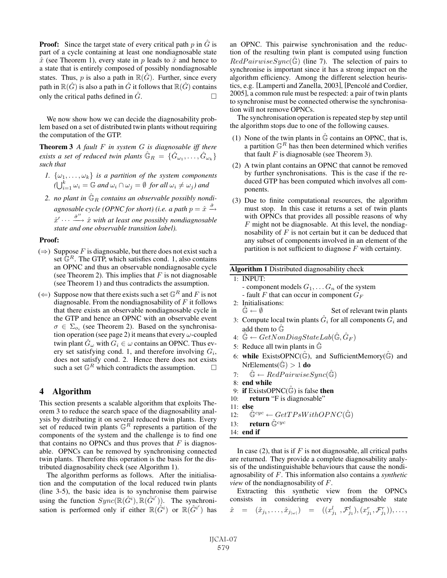**Proof:** Since the target state of every critical path  $p$  in  $\hat{G}$  is part of a cycle containing at least one nondiagnosable state  $\hat{x}$  (see Theorem 1), every state in p leads to  $\hat{x}$  and hence to a state that is entirely composed of possibly nondiagnosable states. Thus, p is also a path in  $\mathbb{R}(G)$ . Further, since every path in  $\mathbb{R}(\hat{G})$  is also a path in  $\hat{G}$  it follows that  $\mathbb{R}(\hat{G})$  contains only the critical paths defined in  $\hat{G}$ .

We now show how we can decide the diagnosability problem based on a set of distributed twin plants without requiring the computation of the GTP.

Theorem 3 *A fault* F *in system* G *is diagnosable iff there exists a set of reduced twin plants*  $\hat{\mathbb{G}}_R = \{\hat{G}_{\omega_1}, \ldots, \hat{G}_{\omega_k}\}$ *such that*

- *1.*  $\{\omega_1, \ldots, \omega_k\}$  *is a partition of the system components*  $(\bigcup_{i=1}^k \omega_i = \mathbb{G}$  and  $\omega_i \cap \omega_j = \emptyset$  for all  $\omega_i \neq \omega_j$ ) and
- 2. no plant in  $\hat{\mathbb{G}}_R$  *contains an observable possibly nondi*agnosable cycle (OPNC for short) (i.e. a path  $p = \hat{x} \stackrel{\hat{\sigma}}{\rightarrow}$  $\hat{x}' \cdots \stackrel{\hat{\sigma}''}{\longrightarrow} \hat{x}$  with at least one possibly nondiagnosable *state and one observable transition label).*

#### Proof:

- $(\Rightarrow)$  Suppose F is diagnosable, but there does not exist such a set  $\mathbb{G}^R$ . The GTP, which satisfies cond. 1, also contains an OPNC and thus an observable nondiagnosable cycle (see Theorem 2). This implies that  $F$  is not diagnosable (see Theorem 1) and thus contradicts the assumption.
- $(\Leftarrow)$  Suppose now that there exists such a set  $\mathbb{G}^R$  and F is not diagnosable. From the nondiagnosability of  $F$  it follows that there exists an observable nondiagnosable cycle in the GTP and hence an OPNC with an observable event  $\sigma \in \Sigma_{o_i}$  (see Theorem 2). Based on the synchronisation operation (see page 2) it means that every  $\omega$ -coupled twin plant  $\hat{G}_{\omega}$  with  $G_i \in \omega$  contains an OPNC. Thus every set satisfying cond. 1, and therefore involving  $G_i$ , does not satisfy cond. 2. Hence there does not exists such a set  $\mathbb{G}^R$  which contradicts the assumption.  $\Box$

### 4 Algorithm

This section presents a scalable algorithm that exploits Theorem 3 to reduce the search space of the diagnosability analysis by distributing it on several reduced twin plants. Every set of reduced twin plants  $\mathbb{G}^R$  represents a partition of the components of the system and the challenge is to find one that contains no OPNCs and thus proves that  $F$  is diagnosable. OPNCs can be removed by synchronising connected twin plants. Therefore this operation is the basis for the distributed diagnosability check (see Algorithm 1).

The algorithm performs as follows. After the initialisation and the computation of the local reduced twin plants (line 3-5), the basic idea is to synchronise them pairwise using the function  $Sync(\mathbb{R}(\hat{G}^i), \mathbb{R}(\hat{G}^{i'}))$ . The synchronisation is performed only if either  $\mathbb{R}(\hat{G}^i)$  or  $\mathbb{R}(\hat{G}^{i'})$  has an OPNC. This pairwise synchronisation and the reduction of the resulting twin plant is computed using function  $RedPairwiseSync(\mathbb{G})$  (line 7). The selection of pairs to synchronise is important since it has a strong impact on the algorithm efficiency. Among the different selection heuristics, e.g. [Lamperti and Zanella, 2003], [Pencolé and Cordier, 2005], a common rule must be respected: a pair of twin plants to synchronise must be connected otherwise the synchronisation will not remove OPNCs.

The synchronisation operation is repeated step by step until the algorithm stops due to one of the following causes.

- (1) None of the twin plants in  $\hat{\mathbb{G}}$  contains an OPNC, that is, a partition  $\mathbb{G}^R$  has then been determined which verifies that fault  $F$  is diagnosable (see Theorem 3).
- (2) A twin plant contains an OPNC that cannot be removed by further synchronisations. This is the case if the reduced GTP has been computed which involves all components.
- (3) Due to finite computational resources, the algorithm must stop. In this case it returns a set of twin plants with OPNCs that provides all possible reasons of why  $F$  might not be diagnosable. At this level, the nondiagnosability of  $F$  is not certain but it can be deduced that any subset of components involved in an element of the partition is not sufficient to diagnose  $F$  with certainty.

#### Algorithm 1 Distributed diagnosability check

- 1: INPUT:
	- component models  $G_1, \ldots, G_n$  of the system
	- fault F that can occur in component  $G_F$
- 2: Initialisations:  $\hat{\mathbb{G}} \leftarrow \emptyset$  Set of relevant twin plants
- 3: Compute local twin plants  $\hat{G}_i$  for all components  $G_i$  and add them to  $\hat{\mathbb{G}}$
- 4:  $\mathbb{G} \leftarrow GetNonDiagStateLab(\hat{\mathbb{G}}, \hat{G}_F)$
- 5: Reduce all twin plants in  $\hat{\mathbb{G}}$
- 6: while ExistsOPNC( $\mathbb{G}$ ), and SufficientMemory( $\mathbb{G}$ ) and NrElements( $\hat{\mathbb{G}}$ ) > 1 do
- 7:  $\hat{\mathbb{G}} \leftarrow RedPairwiseSync(\hat{\mathbb{G}})$
- 8: end while
- 9: if ExistsOPNC $(\mathbb{G})$  is false then
- 10: **return** "F is diagnosable"
- 11: else
- 12:  $\hat{\mathbb{G}}^{cyc} \leftarrow GetTPsWithOPNC(\hat{\mathbb{G}})$
- 13: **return**  $\hat{\mathbb{G}}^{cyc}$
- 14: end if

In case (2), that is if  $F$  is not diagnosable, all critical paths are returned. They provide a complete diagnosability analysis of the undistinguishable behaviours that cause the nondiagnosability of F. This information also contains a *synthetic view* of the nondiagnosability of F.

Extracting this synthetic view from the OPNCs consists in considering every nondiagnosable state

$$
\hat{x} = (\hat{x}_{j_1}, \ldots, \hat{x}_{j_{|\omega|}}) = ((x_{j_1}^l, \mathcal{F}_{j_1}^l), (x_{j_1}^r, \mathcal{F}_{j_1}^r)), \ldots,
$$